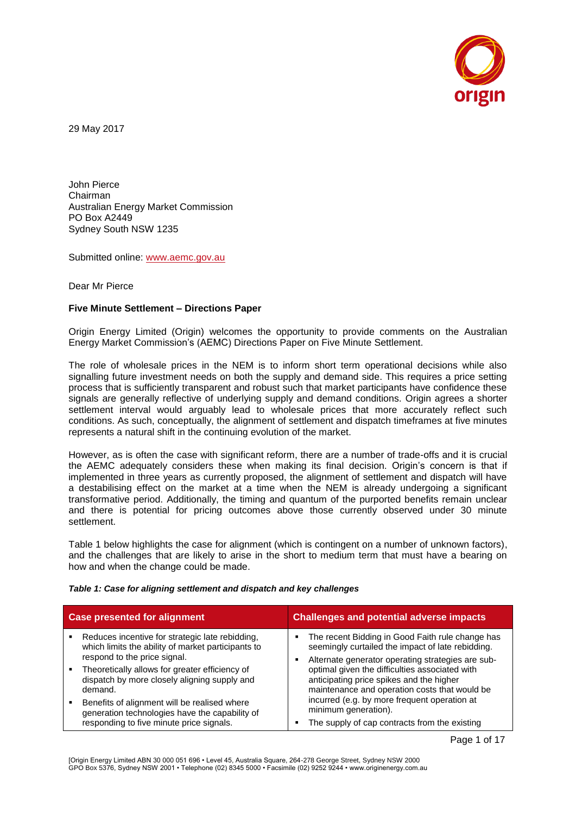

29 May 2017

John Pierce Chairman Australian Energy Market Commission PO Box A2449 Sydney South NSW 1235

Submitted online: [www.aemc.gov.au](http://www.aemc.gov.au/)

Dear Mr Pierce

### **Five Minute Settlement – Directions Paper**

Origin Energy Limited (Origin) welcomes the opportunity to provide comments on the Australian Energy Market Commission's (AEMC) Directions Paper on Five Minute Settlement.

The role of wholesale prices in the NEM is to inform short term operational decisions while also signalling future investment needs on both the supply and demand side. This requires a price setting process that is sufficiently transparent and robust such that market participants have confidence these signals are generally reflective of underlying supply and demand conditions. Origin agrees a shorter settlement interval would arguably lead to wholesale prices that more accurately reflect such conditions. As such, conceptually, the alignment of settlement and dispatch timeframes at five minutes represents a natural shift in the continuing evolution of the market.

However, as is often the case with significant reform, there are a number of trade-offs and it is crucial the AEMC adequately considers these when making its final decision. Origin's concern is that if implemented in three years as currently proposed, the alignment of settlement and dispatch will have a destabilising effect on the market at a time when the NEM is already undergoing a significant transformative period. Additionally, the timing and quantum of the purported benefits remain unclear and there is potential for pricing outcomes above those currently observed under 30 minute settlement.

Table 1 below highlights the case for alignment (which is contingent on a number of unknown factors), and the challenges that are likely to arise in the short to medium term that must have a bearing on how and when the change could be made.

#### *Table 1: Case for aligning settlement and dispatch and key challenges*

| <b>Case presented for alignment</b> |                                                                                                                                            | <b>Challenges and potential adverse impacts</b>                                                                                                            |  |
|-------------------------------------|--------------------------------------------------------------------------------------------------------------------------------------------|------------------------------------------------------------------------------------------------------------------------------------------------------------|--|
|                                     | Reduces incentive for strategic late rebidding,<br>which limits the ability of market participants to<br>respond to the price signal.      | The recent Bidding in Good Faith rule change has<br>seemingly curtailed the impact of late rebidding.<br>Alternate generator operating strategies are sub- |  |
|                                     | Theoretically allows for greater efficiency of<br>dispatch by more closely aligning supply and<br>demand.                                  | optimal given the difficulties associated with<br>anticipating price spikes and the higher<br>maintenance and operation costs that would be                |  |
|                                     | Benefits of alignment will be realised where<br>generation technologies have the capability of<br>responding to five minute price signals. | incurred (e.g. by more frequent operation at<br>minimum generation).<br>The supply of cap contracts from the existing                                      |  |

Page 1 of 17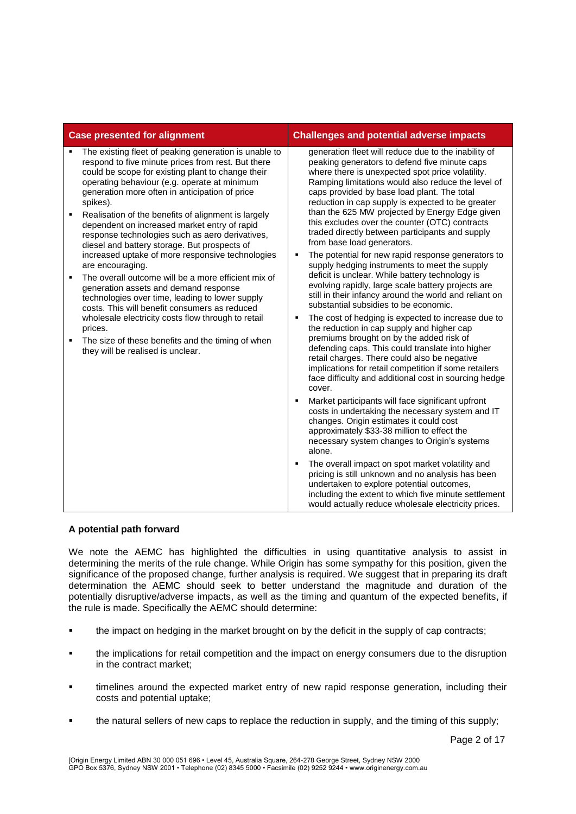| <b>Case presented for alignment</b> |                                                                                                                                                                                                                                                                                                                                                                                                                                                                                                                                                                                                                                               | <b>Challenges and potential adverse impacts</b>                                                                                                                                                                                                                                                                                                                              |  |
|-------------------------------------|-----------------------------------------------------------------------------------------------------------------------------------------------------------------------------------------------------------------------------------------------------------------------------------------------------------------------------------------------------------------------------------------------------------------------------------------------------------------------------------------------------------------------------------------------------------------------------------------------------------------------------------------------|------------------------------------------------------------------------------------------------------------------------------------------------------------------------------------------------------------------------------------------------------------------------------------------------------------------------------------------------------------------------------|--|
|                                     | The existing fleet of peaking generation is unable to<br>respond to five minute prices from rest. But there<br>could be scope for existing plant to change their<br>operating behaviour (e.g. operate at minimum<br>generation more often in anticipation of price<br>spikes).                                                                                                                                                                                                                                                                                                                                                                | generation fleet will reduce due to the inability of<br>peaking generators to defend five minute caps<br>where there is unexpected spot price volatility.<br>Ramping limitations would also reduce the level of<br>caps provided by base load plant. The total<br>reduction in cap supply is expected to be greater                                                          |  |
| ٠                                   | Realisation of the benefits of alignment is largely<br>dependent on increased market entry of rapid<br>response technologies such as aero derivatives,<br>diesel and battery storage. But prospects of<br>increased uptake of more responsive technologies<br>are encouraging.<br>The overall outcome will be a more efficient mix of<br>generation assets and demand response<br>technologies over time, leading to lower supply<br>costs. This will benefit consumers as reduced<br>wholesale electricity costs flow through to retail<br>prices.<br>The size of these benefits and the timing of when<br>they will be realised is unclear. | than the 625 MW projected by Energy Edge given<br>this excludes over the counter (OTC) contracts<br>traded directly between participants and supply<br>from base load generators.                                                                                                                                                                                            |  |
| ٠                                   |                                                                                                                                                                                                                                                                                                                                                                                                                                                                                                                                                                                                                                               | The potential for new rapid response generators to<br>supply hedging instruments to meet the supply<br>deficit is unclear. While battery technology is<br>evolving rapidly, large scale battery projects are<br>still in their infancy around the world and reliant on<br>substantial subsidies to be economic.                                                              |  |
| ٠                                   |                                                                                                                                                                                                                                                                                                                                                                                                                                                                                                                                                                                                                                               | The cost of hedging is expected to increase due to<br>the reduction in cap supply and higher cap<br>premiums brought on by the added risk of<br>defending caps. This could translate into higher<br>retail charges. There could also be negative<br>implications for retail competition if some retailers<br>face difficulty and additional cost in sourcing hedge<br>cover. |  |
|                                     |                                                                                                                                                                                                                                                                                                                                                                                                                                                                                                                                                                                                                                               | Market participants will face significant upfront<br>٠<br>costs in undertaking the necessary system and IT<br>changes. Origin estimates it could cost<br>approximately \$33-38 million to effect the<br>necessary system changes to Origin's systems<br>alone.                                                                                                               |  |
|                                     |                                                                                                                                                                                                                                                                                                                                                                                                                                                                                                                                                                                                                                               | The overall impact on spot market volatility and<br>pricing is still unknown and no analysis has been<br>undertaken to explore potential outcomes,<br>including the extent to which five minute settlement<br>would actually reduce wholesale electricity prices.                                                                                                            |  |

## **A potential path forward**

We note the AEMC has highlighted the difficulties in using quantitative analysis to assist in determining the merits of the rule change. While Origin has some sympathy for this position, given the significance of the proposed change, further analysis is required. We suggest that in preparing its draft determination the AEMC should seek to better understand the magnitude and duration of the potentially disruptive/adverse impacts, as well as the timing and quantum of the expected benefits, if the rule is made. Specifically the AEMC should determine:

- the impact on hedging in the market brought on by the deficit in the supply of cap contracts;
- the implications for retail competition and the impact on energy consumers due to the disruption in the contract market;
- timelines around the expected market entry of new rapid response generation, including their costs and potential uptake;
- the natural sellers of new caps to replace the reduction in supply, and the timing of this supply;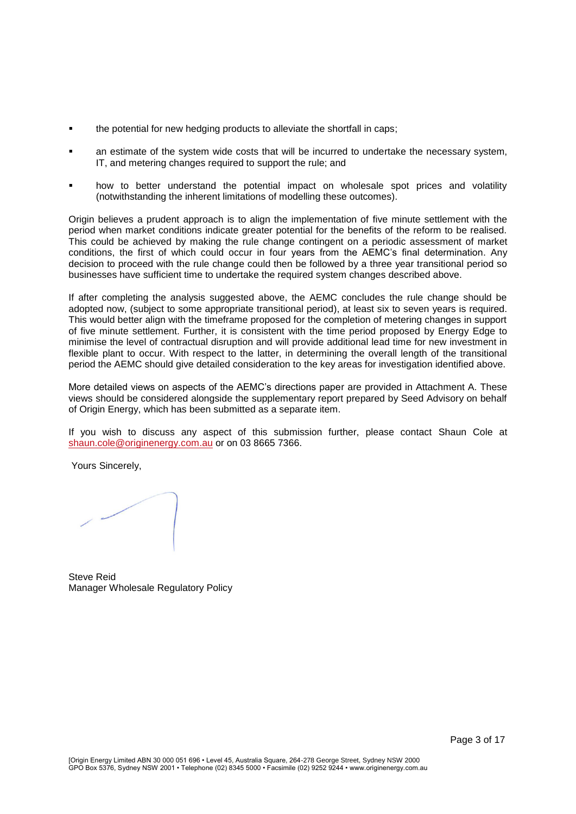- **the potential for new hedging products to alleviate the shortfall in caps;**
- an estimate of the system wide costs that will be incurred to undertake the necessary system, IT, and metering changes required to support the rule; and
- how to better understand the potential impact on wholesale spot prices and volatility (notwithstanding the inherent limitations of modelling these outcomes).

Origin believes a prudent approach is to align the implementation of five minute settlement with the period when market conditions indicate greater potential for the benefits of the reform to be realised. This could be achieved by making the rule change contingent on a periodic assessment of market conditions, the first of which could occur in four years from the AEMC's final determination. Any decision to proceed with the rule change could then be followed by a three year transitional period so businesses have sufficient time to undertake the required system changes described above.

If after completing the analysis suggested above, the AEMC concludes the rule change should be adopted now, (subject to some appropriate transitional period), at least six to seven years is required. This would better align with the timeframe proposed for the completion of metering changes in support of five minute settlement. Further, it is consistent with the time period proposed by Energy Edge to minimise the level of contractual disruption and will provide additional lead time for new investment in flexible plant to occur. With respect to the latter, in determining the overall length of the transitional period the AEMC should give detailed consideration to the key areas for investigation identified above.

More detailed views on aspects of the AEMC's directions paper are provided in Attachment A. These views should be considered alongside the supplementary report prepared by Seed Advisory on behalf of Origin Energy, which has been submitted as a separate item.

If you wish to discuss any aspect of this submission further, please contact Shaun Cole at [shaun.cole@originenergy.com.au](mailto:shaun.cole@originenergy.com.au) or on 03 8665 7366.

Yours Sincerely,

Steve Reid Manager Wholesale Regulatory Policy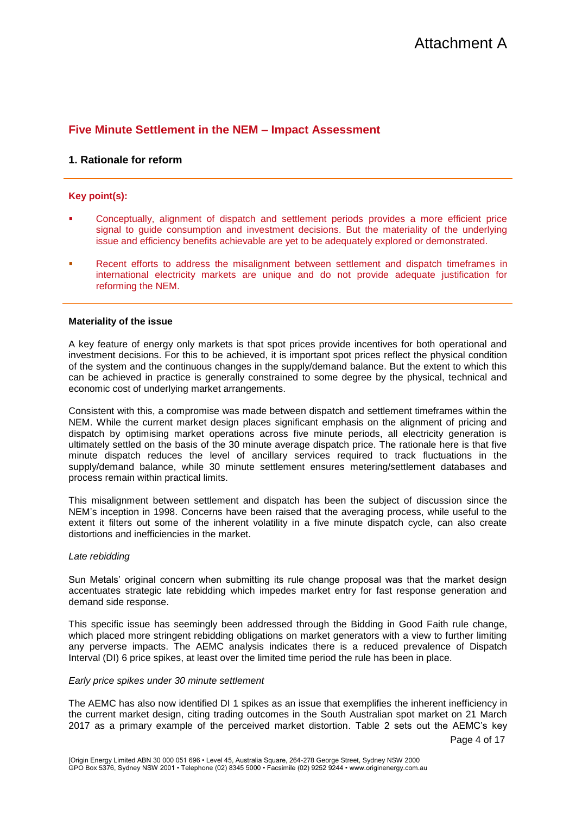# **Five Minute Settlement in the NEM – Impact Assessment**

## **1. Rationale for reform**

## **Key point(s):**

- Conceptually, alignment of dispatch and settlement periods provides a more efficient price signal to guide consumption and investment decisions. But the materiality of the underlying issue and efficiency benefits achievable are yet to be adequately explored or demonstrated.
- Recent efforts to address the misalignment between settlement and dispatch timeframes in international electricity markets are unique and do not provide adequate justification for reforming the NEM.

#### **Materiality of the issue**

A key feature of energy only markets is that spot prices provide incentives for both operational and investment decisions. For this to be achieved, it is important spot prices reflect the physical condition of the system and the continuous changes in the supply/demand balance. But the extent to which this can be achieved in practice is generally constrained to some degree by the physical, technical and economic cost of underlying market arrangements.

Consistent with this, a compromise was made between dispatch and settlement timeframes within the NEM. While the current market design places significant emphasis on the alignment of pricing and dispatch by optimising market operations across five minute periods, all electricity generation is ultimately settled on the basis of the 30 minute average dispatch price. The rationale here is that five minute dispatch reduces the level of ancillary services required to track fluctuations in the supply/demand balance, while 30 minute settlement ensures metering/settlement databases and process remain within practical limits.

This misalignment between settlement and dispatch has been the subject of discussion since the NEM's inception in 1998. Concerns have been raised that the averaging process, while useful to the extent it filters out some of the inherent volatility in a five minute dispatch cycle, can also create distortions and inefficiencies in the market.

#### *Late rebidding*

Sun Metals' original concern when submitting its rule change proposal was that the market design accentuates strategic late rebidding which impedes market entry for fast response generation and demand side response.

This specific issue has seemingly been addressed through the Bidding in Good Faith rule change, which placed more stringent rebidding obligations on market generators with a view to further limiting any perverse impacts. The AEMC analysis indicates there is a reduced prevalence of Dispatch Interval (DI) 6 price spikes, at least over the limited time period the rule has been in place.

#### *Early price spikes under 30 minute settlement*

The AEMC has also now identified DI 1 spikes as an issue that exemplifies the inherent inefficiency in the current market design, citing trading outcomes in the South Australian spot market on 21 March 2017 as a primary example of the perceived market distortion. Table 2 sets out the AEMC's key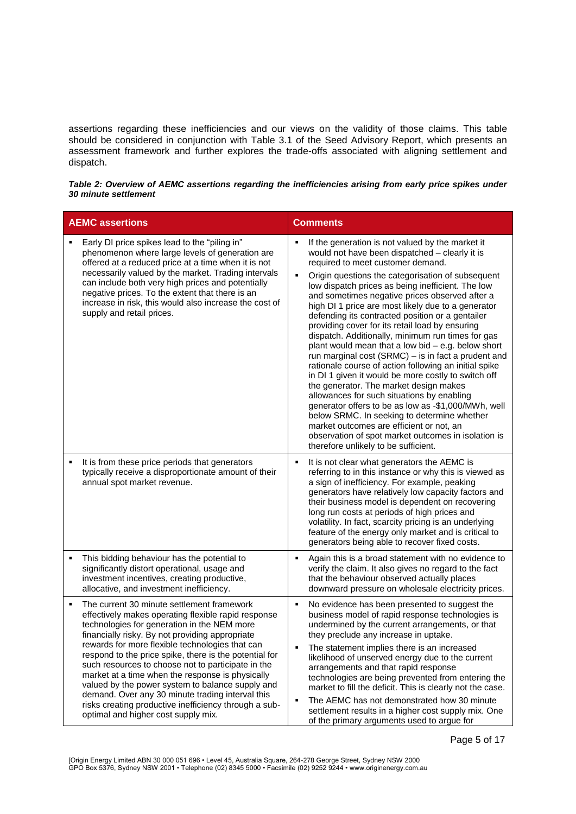assertions regarding these inefficiencies and our views on the validity of those claims. This table should be considered in conjunction with Table 3.1 of the Seed Advisory Report, which presents an assessment framework and further explores the trade-offs associated with aligning settlement and dispatch.

*Table 2: Overview of AEMC assertions regarding the inefficiencies arising from early price spikes under 30 minute settlement*

| <b>AEMC assertions</b> |                                                                                                                                                                                                                                                                                                                                                                                                                                                                                                                                                                                                                                    | <b>Comments</b>                                                                                                                                                                                                                                                                                                                                                                                                                                                                                                                                                                                                                                                                                                                                                                                                                                                                                                                                                                                                                                                                             |  |
|------------------------|------------------------------------------------------------------------------------------------------------------------------------------------------------------------------------------------------------------------------------------------------------------------------------------------------------------------------------------------------------------------------------------------------------------------------------------------------------------------------------------------------------------------------------------------------------------------------------------------------------------------------------|---------------------------------------------------------------------------------------------------------------------------------------------------------------------------------------------------------------------------------------------------------------------------------------------------------------------------------------------------------------------------------------------------------------------------------------------------------------------------------------------------------------------------------------------------------------------------------------------------------------------------------------------------------------------------------------------------------------------------------------------------------------------------------------------------------------------------------------------------------------------------------------------------------------------------------------------------------------------------------------------------------------------------------------------------------------------------------------------|--|
|                        | Early DI price spikes lead to the "piling in"<br>phenomenon where large levels of generation are<br>offered at a reduced price at a time when it is not<br>necessarily valued by the market. Trading intervals<br>can include both very high prices and potentially<br>negative prices. To the extent that there is an<br>increase in risk, this would also increase the cost of<br>supply and retail prices.                                                                                                                                                                                                                      | If the generation is not valued by the market it<br>would not have been dispatched - clearly it is<br>required to meet customer demand.<br>Origin questions the categorisation of subsequent<br>low dispatch prices as being inefficient. The low<br>and sometimes negative prices observed after a<br>high DI 1 price are most likely due to a generator<br>defending its contracted position or a gentailer<br>providing cover for its retail load by ensuring<br>dispatch. Additionally, minimum run times for gas<br>plant would mean that a low bid - e.g. below short<br>run marginal cost (SRMC) - is in fact a prudent and<br>rationale course of action following an initial spike<br>in DI 1 given it would be more costly to switch off<br>the generator. The market design makes<br>allowances for such situations by enabling<br>generator offers to be as low as -\$1,000/MWh, well<br>below SRMC. In seeking to determine whether<br>market outcomes are efficient or not, an<br>observation of spot market outcomes in isolation is<br>therefore unlikely to be sufficient. |  |
| ٠                      | It is from these price periods that generators<br>typically receive a disproportionate amount of their<br>annual spot market revenue.                                                                                                                                                                                                                                                                                                                                                                                                                                                                                              | It is not clear what generators the AEMC is<br>referring to in this instance or why this is viewed as<br>a sign of inefficiency. For example, peaking<br>generators have relatively low capacity factors and<br>their business model is dependent on recovering<br>long run costs at periods of high prices and<br>volatility. In fact, scarcity pricing is an underlying<br>feature of the energy only market and is critical to<br>generators being able to recover fixed costs.                                                                                                                                                                                                                                                                                                                                                                                                                                                                                                                                                                                                          |  |
| ٠                      | This bidding behaviour has the potential to<br>significantly distort operational, usage and<br>investment incentives, creating productive,<br>allocative, and investment inefficiency.                                                                                                                                                                                                                                                                                                                                                                                                                                             | Again this is a broad statement with no evidence to<br>verify the claim. It also gives no regard to the fact<br>that the behaviour observed actually places<br>downward pressure on wholesale electricity prices.                                                                                                                                                                                                                                                                                                                                                                                                                                                                                                                                                                                                                                                                                                                                                                                                                                                                           |  |
| ٠                      | The current 30 minute settlement framework<br>effectively makes operating flexible rapid response<br>technologies for generation in the NEM more<br>financially risky. By not providing appropriate<br>rewards for more flexible technologies that can<br>respond to the price spike, there is the potential for<br>such resources to choose not to participate in the<br>market at a time when the response is physically<br>valued by the power system to balance supply and<br>demand. Over any 30 minute trading interval this<br>risks creating productive inefficiency through a sub-<br>optimal and higher cost supply mix. | No evidence has been presented to suggest the<br>business model of rapid response technologies is<br>undermined by the current arrangements, or that<br>they preclude any increase in uptake.<br>The statement implies there is an increased<br>likelihood of unserved energy due to the current<br>arrangements and that rapid response<br>technologies are being prevented from entering the<br>market to fill the deficit. This is clearly not the case.<br>The AEMC has not demonstrated how 30 minute<br>settlement results in a higher cost supply mix. One<br>of the primary arguments used to argue for                                                                                                                                                                                                                                                                                                                                                                                                                                                                             |  |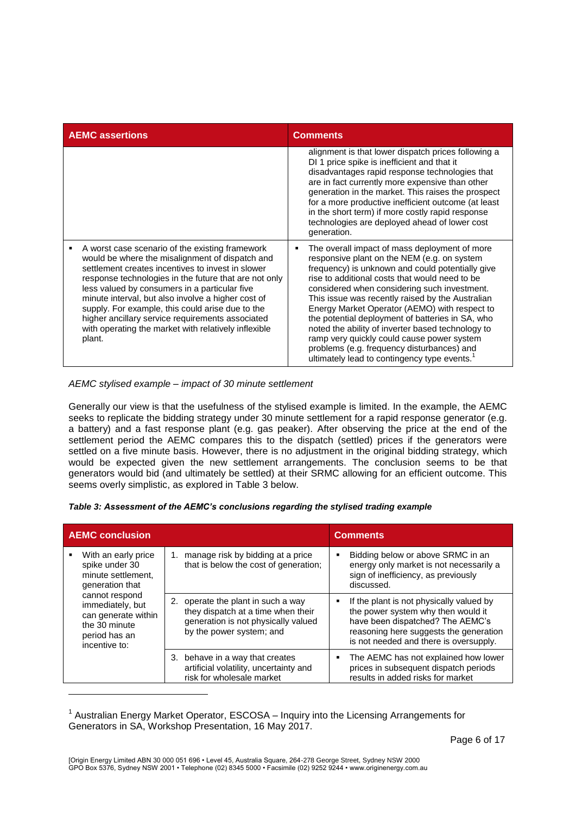| <b>AEMC assertions</b>                                                                                                                                                                                                                                                                                                                                                                                                                                                                            | <b>Comments</b>                                                                                                                                                                                                                                                                                                                                                                                                                                                                                                                                                                                                          |  |
|---------------------------------------------------------------------------------------------------------------------------------------------------------------------------------------------------------------------------------------------------------------------------------------------------------------------------------------------------------------------------------------------------------------------------------------------------------------------------------------------------|--------------------------------------------------------------------------------------------------------------------------------------------------------------------------------------------------------------------------------------------------------------------------------------------------------------------------------------------------------------------------------------------------------------------------------------------------------------------------------------------------------------------------------------------------------------------------------------------------------------------------|--|
|                                                                                                                                                                                                                                                                                                                                                                                                                                                                                                   | alignment is that lower dispatch prices following a<br>DI 1 price spike is inefficient and that it<br>disadvantages rapid response technologies that<br>are in fact currently more expensive than other<br>generation in the market. This raises the prospect<br>for a more productive inefficient outcome (at least<br>in the short term) if more costly rapid response<br>technologies are deployed ahead of lower cost<br>generation.                                                                                                                                                                                 |  |
| A worst case scenario of the existing framework<br>would be where the misalignment of dispatch and<br>settlement creates incentives to invest in slower<br>response technologies in the future that are not only<br>less valued by consumers in a particular five<br>minute interval, but also involve a higher cost of<br>supply. For example, this could arise due to the<br>higher ancillary service requirements associated<br>with operating the market with relatively inflexible<br>plant. | The overall impact of mass deployment of more<br>responsive plant on the NEM (e.g. on system<br>frequency) is unknown and could potentially give<br>rise to additional costs that would need to be<br>considered when considering such investment.<br>This issue was recently raised by the Australian<br>Energy Market Operator (AEMO) with respect to<br>the potential deployment of batteries in SA, who<br>noted the ability of inverter based technology to<br>ramp very quickly could cause power system<br>problems (e.g. frequency disturbances) and<br>ultimately lead to contingency type events. <sup>1</sup> |  |

*AEMC stylised example – impact of 30 minute settlement* 

l

Generally our view is that the usefulness of the stylised example is limited. In the example, the AEMC seeks to replicate the bidding strategy under 30 minute settlement for a rapid response generator (e.g. a battery) and a fast response plant (e.g. gas peaker). After observing the price at the end of the settlement period the AEMC compares this to the dispatch (settled) prices if the generators were settled on a five minute basis. However, there is no adjustment in the original bidding strategy, which would be expected given the new settlement arrangements. The conclusion seems to be that generators would bid (and ultimately be settled) at their SRMC allowing for an efficient outcome. This seems overly simplistic, as explored in Table 3 below.

| Table 3: Assessment of the AEMC's conclusions regarding the stylised trading example |  |  |
|--------------------------------------------------------------------------------------|--|--|
|--------------------------------------------------------------------------------------|--|--|

| <b>AEMC conclusion</b> |                                                                                                              |                                                                                                                                             | <b>Comments</b>                                                                                                                                                                                        |  |
|------------------------|--------------------------------------------------------------------------------------------------------------|---------------------------------------------------------------------------------------------------------------------------------------------|--------------------------------------------------------------------------------------------------------------------------------------------------------------------------------------------------------|--|
| ٠                      | With an early price<br>spike under 30<br>minute settlement.<br>generation that                               | manage risk by bidding at a price<br>1.<br>that is below the cost of generation;                                                            | Bidding below or above SRMC in an<br>energy only market is not necessarily a<br>sign of inefficiency, as previously<br>discussed.                                                                      |  |
|                        | cannot respond<br>immediately, but<br>can generate within<br>the 30 minute<br>period has an<br>incentive to: | 2. operate the plant in such a way<br>they dispatch at a time when their<br>generation is not physically valued<br>by the power system; and | If the plant is not physically valued by<br>the power system why then would it<br>have been dispatched? The AEMC's<br>reasoning here suggests the generation<br>is not needed and there is oversupply. |  |
|                        |                                                                                                              | 3. behave in a way that creates<br>artificial volatility, uncertainty and<br>risk for wholesale market                                      | • The AEMC has not explained how lower<br>prices in subsequent dispatch periods<br>results in added risks for market                                                                                   |  |

<sup>&</sup>lt;sup>1</sup> Australian Energy Market Operator, ESCOSA – Inquiry into the Licensing Arrangements for Generators in SA, Workshop Presentation, 16 May 2017.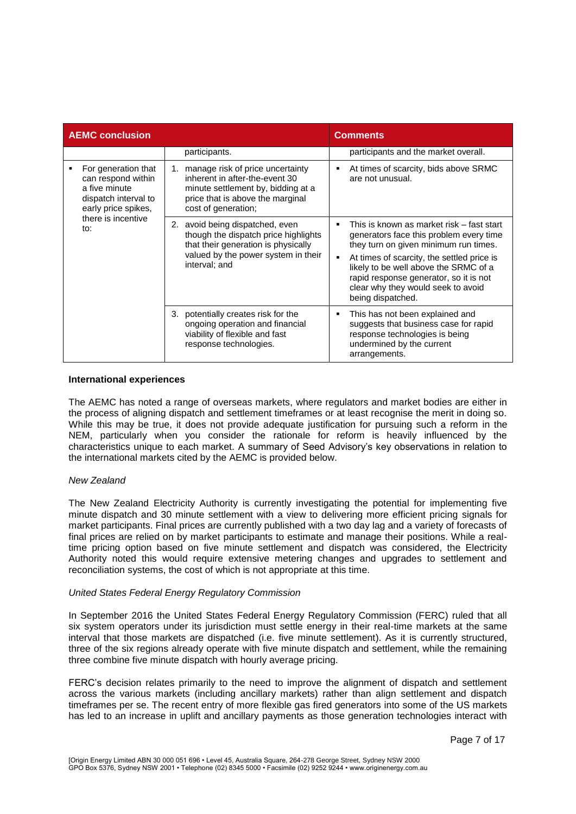| <b>AEMC conclusion</b> |                                                                                                                                        |                                                                                                                                                                           | <b>Comments</b>                                                                                                                                                                                                                                                                                                                     |  |
|------------------------|----------------------------------------------------------------------------------------------------------------------------------------|---------------------------------------------------------------------------------------------------------------------------------------------------------------------------|-------------------------------------------------------------------------------------------------------------------------------------------------------------------------------------------------------------------------------------------------------------------------------------------------------------------------------------|--|
|                        |                                                                                                                                        | participants.                                                                                                                                                             | participants and the market overall.                                                                                                                                                                                                                                                                                                |  |
|                        | For generation that<br>can respond within<br>a five minute<br>dispatch interval to<br>early price spikes,<br>there is incentive<br>to: | manage risk of price uncertainty<br>1.<br>inherent in after-the-event 30<br>minute settlement by, bidding at a<br>price that is above the marginal<br>cost of generation; | At times of scarcity, bids above SRMC<br>п<br>are not unusual.                                                                                                                                                                                                                                                                      |  |
|                        |                                                                                                                                        | 2. avoid being dispatched, even<br>though the dispatch price highlights<br>that their generation is physically<br>valued by the power system in their<br>interval; and    | This is known as market risk – fast start<br>п<br>generators face this problem every time<br>they turn on given minimum run times.<br>At times of scarcity, the settled price is<br>п<br>likely to be well above the SRMC of a<br>rapid response generator, so it is not<br>clear why they would seek to avoid<br>being dispatched. |  |
|                        |                                                                                                                                        | 3.<br>potentially creates risk for the<br>ongoing operation and financial<br>viability of flexible and fast<br>response technologies.                                     | This has not been explained and<br>п<br>suggests that business case for rapid<br>response technologies is being<br>undermined by the current<br>arrangements.                                                                                                                                                                       |  |

#### **International experiences**

The AEMC has noted a range of overseas markets, where regulators and market bodies are either in the process of aligning dispatch and settlement timeframes or at least recognise the merit in doing so. While this may be true, it does not provide adequate justification for pursuing such a reform in the NEM, particularly when you consider the rationale for reform is heavily influenced by the characteristics unique to each market. A summary of Seed Advisory's key observations in relation to the international markets cited by the AEMC is provided below.

### *New Zealand*

The New Zealand Electricity Authority is currently investigating the potential for implementing five minute dispatch and 30 minute settlement with a view to delivering more efficient pricing signals for market participants. Final prices are currently published with a two day lag and a variety of forecasts of final prices are relied on by market participants to estimate and manage their positions. While a realtime pricing option based on five minute settlement and dispatch was considered, the Electricity Authority noted this would require extensive metering changes and upgrades to settlement and reconciliation systems, the cost of which is not appropriate at this time.

#### *United States Federal Energy Regulatory Commission*

In September 2016 the United States Federal Energy Regulatory Commission (FERC) ruled that all six system operators under its jurisdiction must settle energy in their real-time markets at the same interval that those markets are dispatched (i.e. five minute settlement). As it is currently structured, three of the six regions already operate with five minute dispatch and settlement, while the remaining three combine five minute dispatch with hourly average pricing.

FERC's decision relates primarily to the need to improve the alignment of dispatch and settlement across the various markets (including ancillary markets) rather than align settlement and dispatch timeframes per se. The recent entry of more flexible gas fired generators into some of the US markets has led to an increase in uplift and ancillary payments as those generation technologies interact with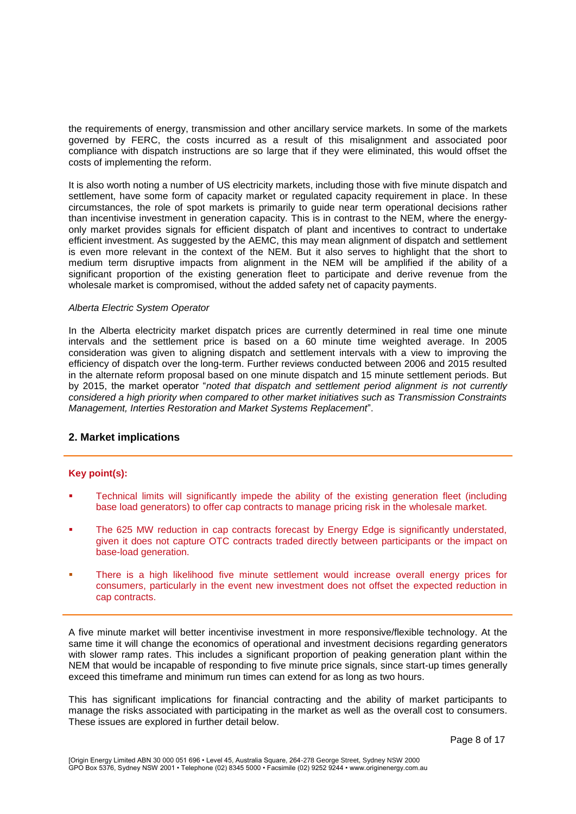the requirements of energy, transmission and other ancillary service markets. In some of the markets governed by FERC, the costs incurred as a result of this misalignment and associated poor compliance with dispatch instructions are so large that if they were eliminated, this would offset the costs of implementing the reform.

It is also worth noting a number of US electricity markets, including those with five minute dispatch and settlement, have some form of capacity market or regulated capacity requirement in place. In these circumstances, the role of spot markets is primarily to guide near term operational decisions rather than incentivise investment in generation capacity. This is in contrast to the NEM, where the energyonly market provides signals for efficient dispatch of plant and incentives to contract to undertake efficient investment. As suggested by the AEMC, this may mean alignment of dispatch and settlement is even more relevant in the context of the NEM. But it also serves to highlight that the short to medium term disruptive impacts from alignment in the NEM will be amplified if the ability of a significant proportion of the existing generation fleet to participate and derive revenue from the wholesale market is compromised, without the added safety net of capacity payments.

#### *Alberta Electric System Operator*

In the Alberta electricity market dispatch prices are currently determined in real time one minute intervals and the settlement price is based on a 60 minute time weighted average. In 2005 consideration was given to aligning dispatch and settlement intervals with a view to improving the efficiency of dispatch over the long-term. Further reviews conducted between 2006 and 2015 resulted in the alternate reform proposal based on one minute dispatch and 15 minute settlement periods. But by 2015, the market operator "*noted that dispatch and settlement period alignment is not currently considered a high priority when compared to other market initiatives such as Transmission Constraints Management, Interties Restoration and Market Systems Replacement*".

#### **2. Market implications**

#### **Key point(s):**

- Technical limits will significantly impede the ability of the existing generation fleet (including base load generators) to offer cap contracts to manage pricing risk in the wholesale market.
- The 625 MW reduction in cap contracts forecast by Energy Edge is significantly understated, given it does not capture OTC contracts traded directly between participants or the impact on base-load generation.
- There is a high likelihood five minute settlement would increase overall energy prices for consumers, particularly in the event new investment does not offset the expected reduction in cap contracts.

A five minute market will better incentivise investment in more responsive/flexible technology. At the same time it will change the economics of operational and investment decisions regarding generators with slower ramp rates. This includes a significant proportion of peaking generation plant within the NEM that would be incapable of responding to five minute price signals, since start-up times generally exceed this timeframe and minimum run times can extend for as long as two hours.

This has significant implications for financial contracting and the ability of market participants to manage the risks associated with participating in the market as well as the overall cost to consumers. These issues are explored in further detail below.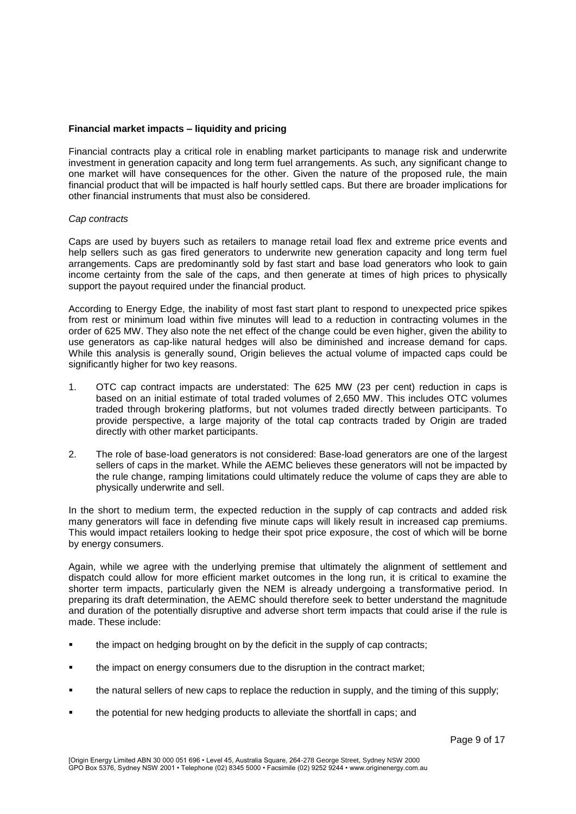#### **Financial market impacts – liquidity and pricing**

Financial contracts play a critical role in enabling market participants to manage risk and underwrite investment in generation capacity and long term fuel arrangements. As such, any significant change to one market will have consequences for the other. Given the nature of the proposed rule, the main financial product that will be impacted is half hourly settled caps. But there are broader implications for other financial instruments that must also be considered.

#### *Cap contracts*

Caps are used by buyers such as retailers to manage retail load flex and extreme price events and help sellers such as gas fired generators to underwrite new generation capacity and long term fuel arrangements. Caps are predominantly sold by fast start and base load generators who look to gain income certainty from the sale of the caps, and then generate at times of high prices to physically support the payout required under the financial product.

According to Energy Edge, the inability of most fast start plant to respond to unexpected price spikes from rest or minimum load within five minutes will lead to a reduction in contracting volumes in the order of 625 MW. They also note the net effect of the change could be even higher, given the ability to use generators as cap-like natural hedges will also be diminished and increase demand for caps. While this analysis is generally sound, Origin believes the actual volume of impacted caps could be significantly higher for two key reasons.

- 1. OTC cap contract impacts are understated: The 625 MW (23 per cent) reduction in caps is based on an initial estimate of total traded volumes of 2,650 MW. This includes OTC volumes traded through brokering platforms, but not volumes traded directly between participants. To provide perspective, a large majority of the total cap contracts traded by Origin are traded directly with other market participants.
- 2. The role of base-load generators is not considered: Base-load generators are one of the largest sellers of caps in the market. While the AEMC believes these generators will not be impacted by the rule change, ramping limitations could ultimately reduce the volume of caps they are able to physically underwrite and sell.

In the short to medium term, the expected reduction in the supply of cap contracts and added risk many generators will face in defending five minute caps will likely result in increased cap premiums. This would impact retailers looking to hedge their spot price exposure, the cost of which will be borne by energy consumers.

Again, while we agree with the underlying premise that ultimately the alignment of settlement and dispatch could allow for more efficient market outcomes in the long run, it is critical to examine the shorter term impacts, particularly given the NEM is already undergoing a transformative period. In preparing its draft determination, the AEMC should therefore seek to better understand the magnitude and duration of the potentially disruptive and adverse short term impacts that could arise if the rule is made. These include:

- the impact on hedging brought on by the deficit in the supply of cap contracts;
- the impact on energy consumers due to the disruption in the contract market;
- the natural sellers of new caps to replace the reduction in supply, and the timing of this supply;
- **the potential for new hedging products to alleviate the shortfall in caps; and**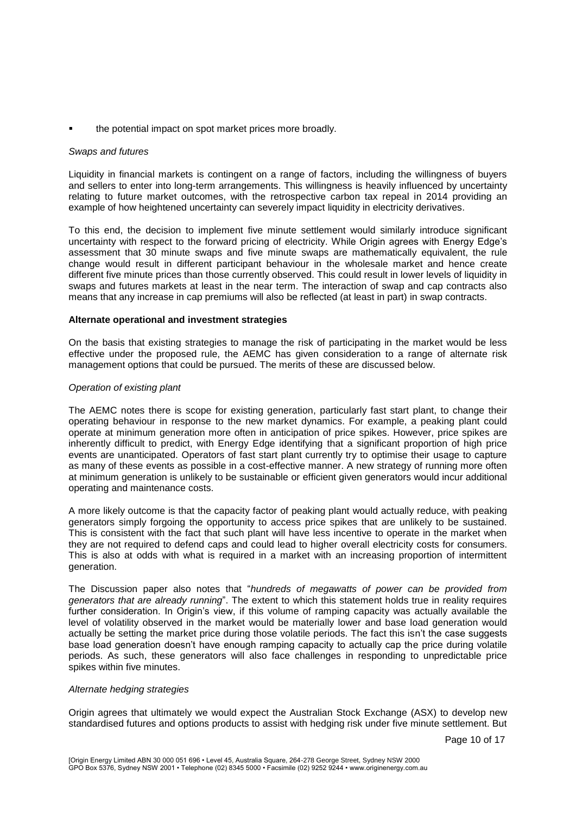the potential impact on spot market prices more broadly.

### *Swaps and futures*

Liquidity in financial markets is contingent on a range of factors, including the willingness of buyers and sellers to enter into long-term arrangements. This willingness is heavily influenced by uncertainty relating to future market outcomes, with the retrospective carbon tax repeal in 2014 providing an example of how heightened uncertainty can severely impact liquidity in electricity derivatives.

To this end, the decision to implement five minute settlement would similarly introduce significant uncertainty with respect to the forward pricing of electricity. While Origin agrees with Energy Edge's assessment that 30 minute swaps and five minute swaps are mathematically equivalent, the rule change would result in different participant behaviour in the wholesale market and hence create different five minute prices than those currently observed. This could result in lower levels of liquidity in swaps and futures markets at least in the near term. The interaction of swap and cap contracts also means that any increase in cap premiums will also be reflected (at least in part) in swap contracts.

### **Alternate operational and investment strategies**

On the basis that existing strategies to manage the risk of participating in the market would be less effective under the proposed rule, the AEMC has given consideration to a range of alternate risk management options that could be pursued. The merits of these are discussed below.

### *Operation of existing plant*

The AEMC notes there is scope for existing generation, particularly fast start plant, to change their operating behaviour in response to the new market dynamics. For example, a peaking plant could operate at minimum generation more often in anticipation of price spikes. However, price spikes are inherently difficult to predict, with Energy Edge identifying that a significant proportion of high price events are unanticipated. Operators of fast start plant currently try to optimise their usage to capture as many of these events as possible in a cost-effective manner. A new strategy of running more often at minimum generation is unlikely to be sustainable or efficient given generators would incur additional operating and maintenance costs.

A more likely outcome is that the capacity factor of peaking plant would actually reduce, with peaking generators simply forgoing the opportunity to access price spikes that are unlikely to be sustained. This is consistent with the fact that such plant will have less incentive to operate in the market when they are not required to defend caps and could lead to higher overall electricity costs for consumers. This is also at odds with what is required in a market with an increasing proportion of intermittent generation.

The Discussion paper also notes that "*hundreds of megawatts of power can be provided from generators that are already running*". The extent to which this statement holds true in reality requires further consideration. In Origin's view, if this volume of ramping capacity was actually available the level of volatility observed in the market would be materially lower and base load generation would actually be setting the market price during those volatile periods. The fact this isn't the case suggests base load generation doesn't have enough ramping capacity to actually cap the price during volatile periods. As such, these generators will also face challenges in responding to unpredictable price spikes within five minutes.

#### *Alternate hedging strategies*

Origin agrees that ultimately we would expect the Australian Stock Exchange (ASX) to develop new standardised futures and options products to assist with hedging risk under five minute settlement. But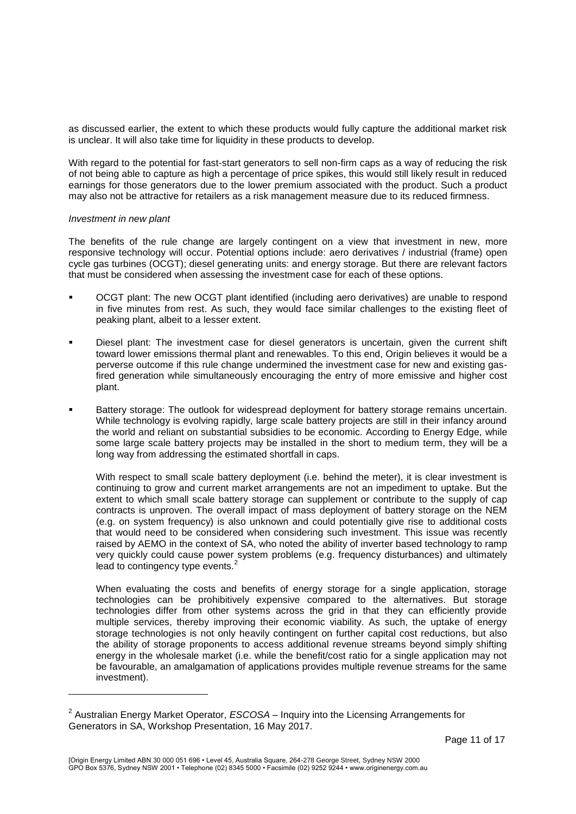as discussed earlier, the extent to which these products would fully capture the additional market risk is unclear. It will also take time for liquidity in these products to develop.

With regard to the potential for fast-start generators to sell non-firm caps as a way of reducing the risk of not being able to capture as high a percentage of price spikes, this would still likely result in reduced earnings for those generators due to the lower premium associated with the product. Such a product may also not be attractive for retailers as a risk management measure due to its reduced firmness.

#### *Investment in new plant*

l

The benefits of the rule change are largely contingent on a view that investment in new, more responsive technology will occur. Potential options include: aero derivatives / industrial (frame) open cycle gas turbines (OCGT); diesel generating units: and energy storage. But there are relevant factors that must be considered when assessing the investment case for each of these options.

- OCGT plant: The new OCGT plant identified (including aero derivatives) are unable to respond in five minutes from rest. As such, they would face similar challenges to the existing fleet of peaking plant, albeit to a lesser extent.
- Diesel plant: The investment case for diesel generators is uncertain, given the current shift toward lower emissions thermal plant and renewables. To this end, Origin believes it would be a perverse outcome if this rule change undermined the investment case for new and existing gasfired generation while simultaneously encouraging the entry of more emissive and higher cost plant.
- Battery storage: The outlook for widespread deployment for battery storage remains uncertain. While technology is evolving rapidly, large scale battery projects are still in their infancy around the world and reliant on substantial subsidies to be economic. According to Energy Edge, while some large scale battery projects may be installed in the short to medium term, they will be a long way from addressing the estimated shortfall in caps.

With respect to small scale battery deployment (i.e. behind the meter), it is clear investment is continuing to grow and current market arrangements are not an impediment to uptake. But the extent to which small scale battery storage can supplement or contribute to the supply of cap contracts is unproven. The overall impact of mass deployment of battery storage on the NEM (e.g. on system frequency) is also unknown and could potentially give rise to additional costs that would need to be considered when considering such investment. This issue was recently raised by AEMO in the context of SA, who noted the ability of inverter based technology to ramp very quickly could cause power system problems (e.g. frequency disturbances) and ultimately lead to contingency type events.<sup>2</sup>

When evaluating the costs and benefits of energy storage for a single application, storage technologies can be prohibitively expensive compared to the alternatives. But storage technologies differ from other systems across the grid in that they can efficiently provide multiple services, thereby improving their economic viability. As such, the uptake of energy storage technologies is not only heavily contingent on further capital cost reductions, but also the ability of storage proponents to access additional revenue streams beyond simply shifting energy in the wholesale market (i.e. while the benefit/cost ratio for a single application may not be favourable, an amalgamation of applications provides multiple revenue streams for the same investment).

<sup>2</sup> Australian Energy Market Operator, *ESCOSA –* Inquiry into the Licensing Arrangements for Generators in SA, Workshop Presentation, 16 May 2017.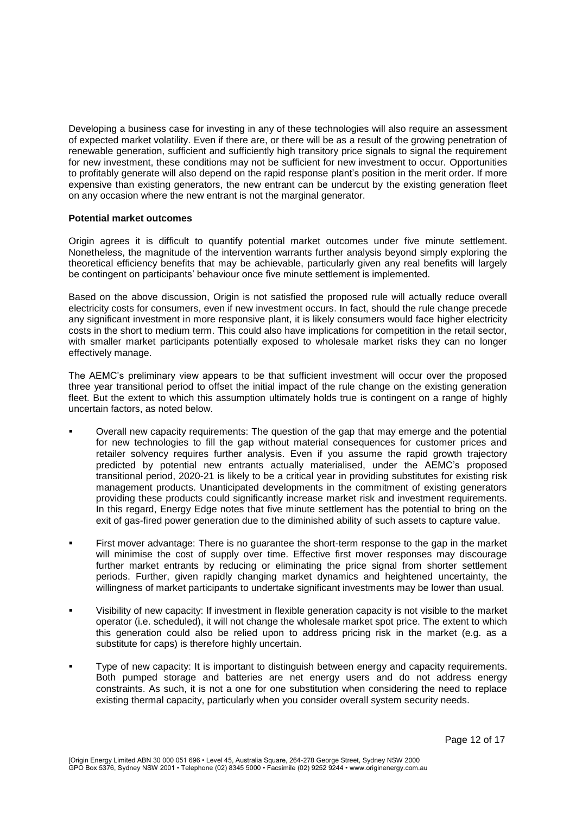Developing a business case for investing in any of these technologies will also require an assessment of expected market volatility. Even if there are, or there will be as a result of the growing penetration of renewable generation, sufficient and sufficiently high transitory price signals to signal the requirement for new investment, these conditions may not be sufficient for new investment to occur. Opportunities to profitably generate will also depend on the rapid response plant's position in the merit order. If more expensive than existing generators, the new entrant can be undercut by the existing generation fleet on any occasion where the new entrant is not the marginal generator.

#### **Potential market outcomes**

Origin agrees it is difficult to quantify potential market outcomes under five minute settlement. Nonetheless, the magnitude of the intervention warrants further analysis beyond simply exploring the theoretical efficiency benefits that may be achievable, particularly given any real benefits will largely be contingent on participants' behaviour once five minute settlement is implemented.

Based on the above discussion, Origin is not satisfied the proposed rule will actually reduce overall electricity costs for consumers, even if new investment occurs. In fact, should the rule change precede any significant investment in more responsive plant, it is likely consumers would face higher electricity costs in the short to medium term. This could also have implications for competition in the retail sector, with smaller market participants potentially exposed to wholesale market risks they can no longer effectively manage.

The AEMC's preliminary view appears to be that sufficient investment will occur over the proposed three year transitional period to offset the initial impact of the rule change on the existing generation fleet. But the extent to which this assumption ultimately holds true is contingent on a range of highly uncertain factors, as noted below.

- Overall new capacity requirements: The question of the gap that may emerge and the potential for new technologies to fill the gap without material consequences for customer prices and retailer solvency requires further analysis. Even if you assume the rapid growth trajectory predicted by potential new entrants actually materialised, under the AEMC's proposed transitional period, 2020-21 is likely to be a critical year in providing substitutes for existing risk management products. Unanticipated developments in the commitment of existing generators providing these products could significantly increase market risk and investment requirements. In this regard, Energy Edge notes that five minute settlement has the potential to bring on the exit of gas-fired power generation due to the diminished ability of such assets to capture value.
- First mover advantage: There is no guarantee the short-term response to the gap in the market will minimise the cost of supply over time. Effective first mover responses may discourage further market entrants by reducing or eliminating the price signal from shorter settlement periods. Further, given rapidly changing market dynamics and heightened uncertainty, the willingness of market participants to undertake significant investments may be lower than usual.
- Visibility of new capacity: If investment in flexible generation capacity is not visible to the market operator (i.e. scheduled), it will not change the wholesale market spot price. The extent to which this generation could also be relied upon to address pricing risk in the market (e.g. as a substitute for caps) is therefore highly uncertain.
- Type of new capacity: It is important to distinguish between energy and capacity requirements. Both pumped storage and batteries are net energy users and do not address energy constraints. As such, it is not a one for one substitution when considering the need to replace existing thermal capacity, particularly when you consider overall system security needs.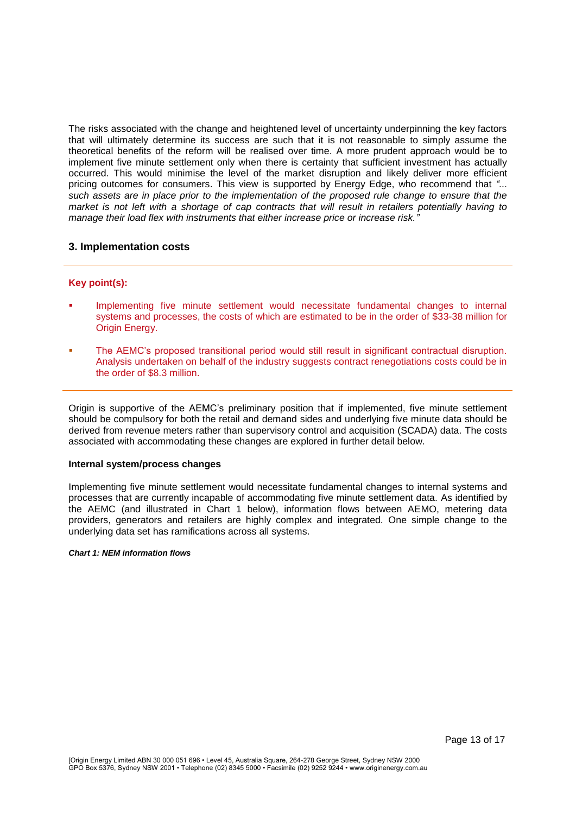The risks associated with the change and heightened level of uncertainty underpinning the key factors that will ultimately determine its success are such that it is not reasonable to simply assume the theoretical benefits of the reform will be realised over time. A more prudent approach would be to implement five minute settlement only when there is certainty that sufficient investment has actually occurred. This would minimise the level of the market disruption and likely deliver more efficient pricing outcomes for consumers. This view is supported by Energy Edge, who recommend that *"... such assets are in place prior to the implementation of the proposed rule change to ensure that the market is not left with a shortage of cap contracts that will result in retailers potentially having to manage their load flex with instruments that either increase price or increase risk."*

## **3. Implementation costs**

#### **Key point(s):**

- Implementing five minute settlement would necessitate fundamental changes to internal systems and processes, the costs of which are estimated to be in the order of \$33-38 million for Origin Energy.
- The AEMC's proposed transitional period would still result in significant contractual disruption. Analysis undertaken on behalf of the industry suggests contract renegotiations costs could be in the order of \$8.3 million.

Origin is supportive of the AEMC's preliminary position that if implemented, five minute settlement should be compulsory for both the retail and demand sides and underlying five minute data should be derived from revenue meters rather than supervisory control and acquisition (SCADA) data. The costs associated with accommodating these changes are explored in further detail below.

#### **Internal system/process changes**

Implementing five minute settlement would necessitate fundamental changes to internal systems and processes that are currently incapable of accommodating five minute settlement data. As identified by the AEMC (and illustrated in Chart 1 below), information flows between AEMO, metering data providers, generators and retailers are highly complex and integrated. One simple change to the underlying data set has ramifications across all systems.

#### *Chart 1: NEM information flows*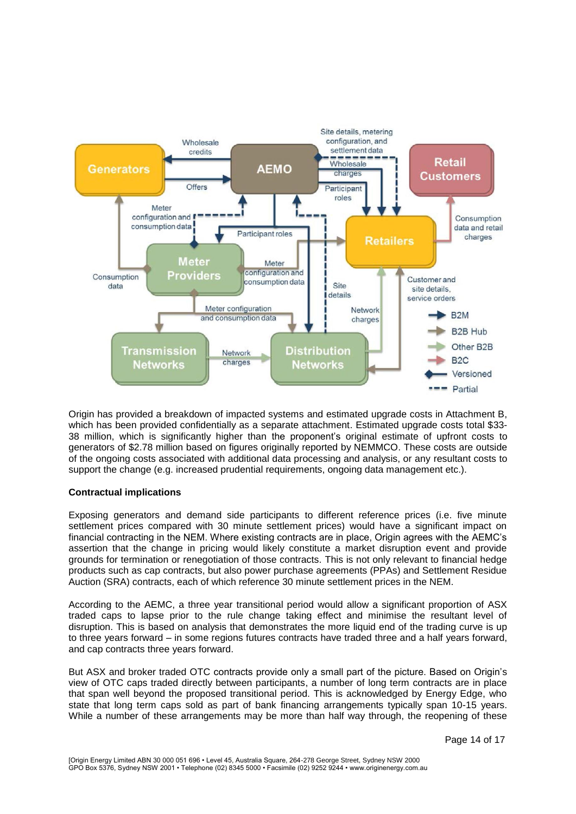

Origin has provided a breakdown of impacted systems and estimated upgrade costs in Attachment B, which has been provided confidentially as a separate attachment. Estimated upgrade costs total \$33- 38 million, which is significantly higher than the proponent's original estimate of upfront costs to generators of \$2.78 million based on figures originally reported by NEMMCO. These costs are outside of the ongoing costs associated with additional data processing and analysis, or any resultant costs to support the change (e.g. increased prudential requirements, ongoing data management etc.).

## **Contractual implications**

Exposing generators and demand side participants to different reference prices (i.e. five minute settlement prices compared with 30 minute settlement prices) would have a significant impact on financial contracting in the NEM. Where existing contracts are in place, Origin agrees with the AEMC's assertion that the change in pricing would likely constitute a market disruption event and provide grounds for termination or renegotiation of those contracts. This is not only relevant to financial hedge products such as cap contracts, but also power purchase agreements (PPAs) and Settlement Residue Auction (SRA) contracts, each of which reference 30 minute settlement prices in the NEM.

According to the AEMC, a three year transitional period would allow a significant proportion of ASX traded caps to lapse prior to the rule change taking effect and minimise the resultant level of disruption. This is based on analysis that demonstrates the more liquid end of the trading curve is up to three years forward – in some regions futures contracts have traded three and a half years forward, and cap contracts three years forward.

But ASX and broker traded OTC contracts provide only a small part of the picture. Based on Origin's view of OTC caps traded directly between participants, a number of long term contracts are in place that span well beyond the proposed transitional period. This is acknowledged by Energy Edge, who state that long term caps sold as part of bank financing arrangements typically span 10-15 years. While a number of these arrangements may be more than half way through, the reopening of these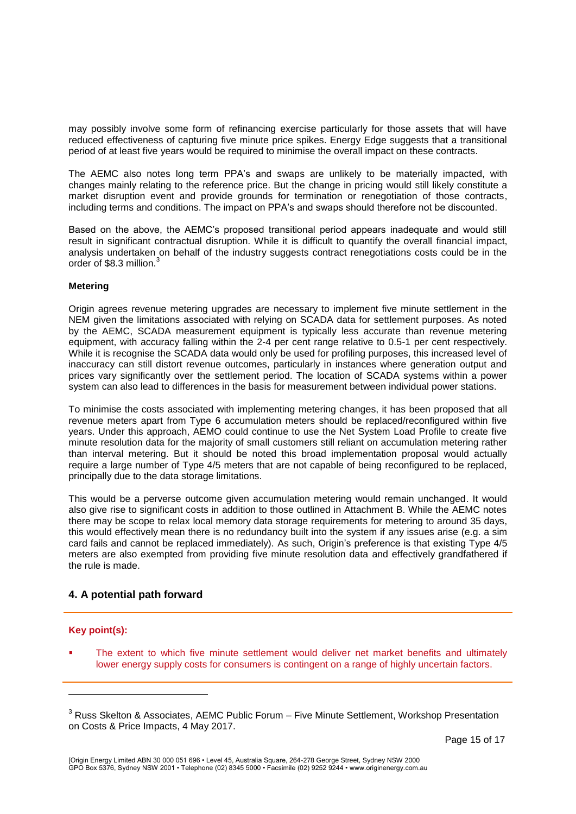may possibly involve some form of refinancing exercise particularly for those assets that will have reduced effectiveness of capturing five minute price spikes. Energy Edge suggests that a transitional period of at least five years would be required to minimise the overall impact on these contracts.

The AEMC also notes long term PPA's and swaps are unlikely to be materially impacted, with changes mainly relating to the reference price. But the change in pricing would still likely constitute a market disruption event and provide grounds for termination or renegotiation of those contracts, including terms and conditions. The impact on PPA's and swaps should therefore not be discounted.

Based on the above, the AEMC's proposed transitional period appears inadequate and would still result in significant contractual disruption. While it is difficult to quantify the overall financial impact, analysis undertaken on behalf of the industry suggests contract renegotiations costs could be in the order of \$8.3 million.<sup>3</sup>

### **Metering**

Origin agrees revenue metering upgrades are necessary to implement five minute settlement in the NEM given the limitations associated with relying on SCADA data for settlement purposes. As noted by the AEMC, SCADA measurement equipment is typically less accurate than revenue metering equipment, with accuracy falling within the 2-4 per cent range relative to 0.5-1 per cent respectively. While it is recognise the SCADA data would only be used for profiling purposes, this increased level of inaccuracy can still distort revenue outcomes, particularly in instances where generation output and prices vary significantly over the settlement period. The location of SCADA systems within a power system can also lead to differences in the basis for measurement between individual power stations.

To minimise the costs associated with implementing metering changes, it has been proposed that all revenue meters apart from Type 6 accumulation meters should be replaced/reconfigured within five years. Under this approach, AEMO could continue to use the Net System Load Profile to create five minute resolution data for the majority of small customers still reliant on accumulation metering rather than interval metering. But it should be noted this broad implementation proposal would actually require a large number of Type 4/5 meters that are not capable of being reconfigured to be replaced, principally due to the data storage limitations.

This would be a perverse outcome given accumulation metering would remain unchanged. It would also give rise to significant costs in addition to those outlined in Attachment B. While the AEMC notes there may be scope to relax local memory data storage requirements for metering to around 35 days, this would effectively mean there is no redundancy built into the system if any issues arise (e.g. a sim card fails and cannot be replaced immediately). As such, Origin's preference is that existing Type 4/5 meters are also exempted from providing five minute resolution data and effectively grandfathered if the rule is made.

# **4. A potential path forward**

## **Key point(s):**

l

 The extent to which five minute settlement would deliver net market benefits and ultimately lower energy supply costs for consumers is contingent on a range of highly uncertain factors.

<sup>&</sup>lt;sup>3</sup> Russ Skelton & Associates, AEMC Public Forum – Five Minute Settlement, Workshop Presentation on Costs & Price Impacts, 4 May 2017.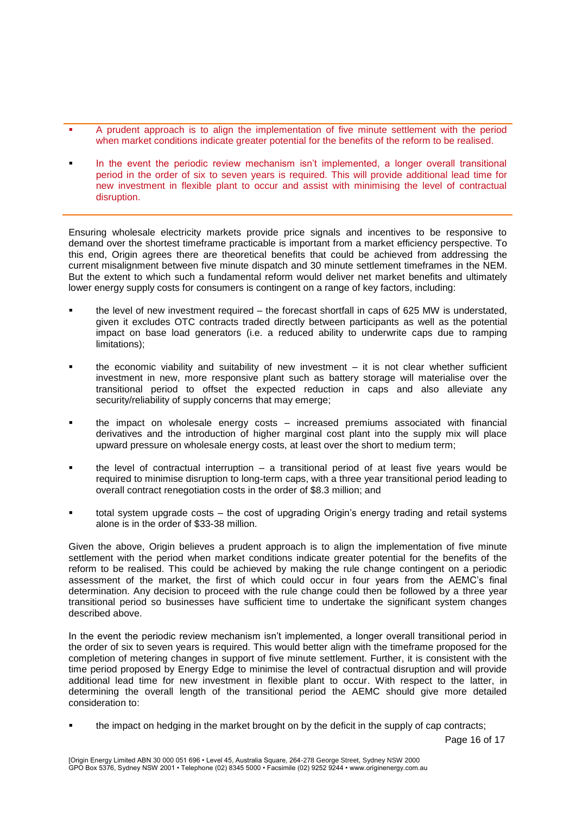- A prudent approach is to align the implementation of five minute settlement with the period when market conditions indicate greater potential for the benefits of the reform to be realised.
- In the event the periodic review mechanism isn't implemented, a longer overall transitional period in the order of six to seven years is required. This will provide additional lead time for new investment in flexible plant to occur and assist with minimising the level of contractual disruption.

Ensuring wholesale electricity markets provide price signals and incentives to be responsive to demand over the shortest timeframe practicable is important from a market efficiency perspective. To this end, Origin agrees there are theoretical benefits that could be achieved from addressing the current misalignment between five minute dispatch and 30 minute settlement timeframes in the NEM. But the extent to which such a fundamental reform would deliver net market benefits and ultimately lower energy supply costs for consumers is contingent on a range of key factors, including:

- the level of new investment required the forecast shortfall in caps of 625 MW is understated, given it excludes OTC contracts traded directly between participants as well as the potential impact on base load generators (i.e. a reduced ability to underwrite caps due to ramping limitations);
- the economic viability and suitability of new investment it is not clear whether sufficient investment in new, more responsive plant such as battery storage will materialise over the transitional period to offset the expected reduction in caps and also alleviate any security/reliability of supply concerns that may emerge;
- the impact on wholesale energy costs increased premiums associated with financial derivatives and the introduction of higher marginal cost plant into the supply mix will place upward pressure on wholesale energy costs, at least over the short to medium term;
- the level of contractual interruption a transitional period of at least five years would be required to minimise disruption to long-term caps, with a three year transitional period leading to overall contract renegotiation costs in the order of \$8.3 million; and
- total system upgrade costs the cost of upgrading Origin's energy trading and retail systems alone is in the order of \$33-38 million.

Given the above, Origin believes a prudent approach is to align the implementation of five minute settlement with the period when market conditions indicate greater potential for the benefits of the reform to be realised. This could be achieved by making the rule change contingent on a periodic assessment of the market, the first of which could occur in four years from the AEMC's final determination. Any decision to proceed with the rule change could then be followed by a three year transitional period so businesses have sufficient time to undertake the significant system changes described above.

In the event the periodic review mechanism isn't implemented, a longer overall transitional period in the order of six to seven years is required. This would better align with the timeframe proposed for the completion of metering changes in support of five minute settlement. Further, it is consistent with the time period proposed by Energy Edge to minimise the level of contractual disruption and will provide additional lead time for new investment in flexible plant to occur. With respect to the latter, in determining the overall length of the transitional period the AEMC should give more detailed consideration to:

the impact on hedging in the market brought on by the deficit in the supply of cap contracts;

Page 16 of 17